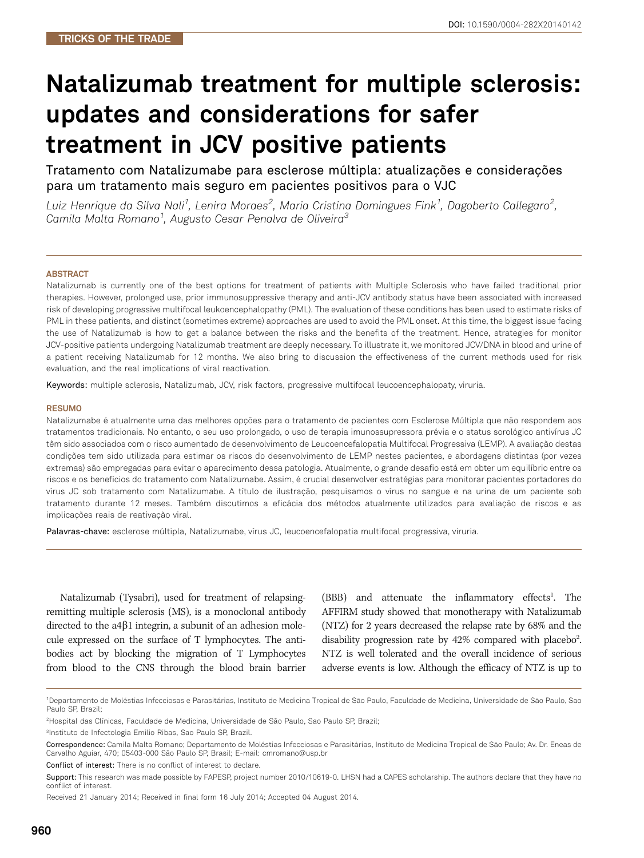# Natalizumab treatment for multiple sclerosis: updates and considerations for safer treatment in JCV positive patients

Tratamento com Natalizumabe para esclerose múltipla: atualizações e considerações para um tratamento mais seguro em pacientes positivos para o VJC

Luiz Henrique da Silva Nali<sup>1</sup>, Lenira Moraes<sup>2</sup>, Maria Cristina Domingues Fink<sup>1</sup>, Dagoberto Callegaro<sup>2</sup>, Camila Malta Romano<sup>1</sup>, Augusto Cesar Penalva de Oliveira<sup>3</sup>

#### **ABSTRACT**

Natalizumab is currently one of the best options for treatment of patients with Multiple Sclerosis who have failed traditional prior therapies. However, prolonged use, prior immunosuppressive therapy and anti-JCV antibody status have been associated with increased risk of developing progressive multifocal leukoencephalopathy (PML). The evaluation of these conditions has been used to estimate risks of PML in these patients, and distinct (sometimes extreme) approaches are used to avoid the PML onset. At this time, the biggest issue facing the use of Natalizumab is how to get a balance between the risks and the benefits of the treatment. Hence, strategies for monitor JCV-positive patients undergoing Natalizumab treatment are deeply necessary. To illustrate it, we monitored JCV/DNA in blood and urine of a patient receiving Natalizumab for 12 months. We also bring to discussion the effectiveness of the current methods used for risk evaluation, and the real implications of viral reactivation.

Keywords: multiple sclerosis, Natalizumab, JCV, risk factors, progressive multifocal leucoencephalopaty, viruria.

#### **RESUMO**

Natalizumabe é atualmente uma das melhores opções para o tratamento de pacientes com Esclerose Múltipla que não respondem aos tratamentos tradicionais. No entanto, o seu uso prolongado, o uso de terapia imunossupressora prévia e o status sorológico antivírus JC têm sido associados com o risco aumentado de desenvolvimento de Leucoencefalopatia Multifocal Progressiva (LEMP). A avaliação destas condições tem sido utilizada para estimar os riscos do desenvolvimento de LEMP nestes pacientes, e abordagens distintas (por vezes extremas) são empregadas para evitar o aparecimento dessa patologia. Atualmente, o grande desafio está em obter um equilíbrio entre os riscos e os benefícios do tratamento com Natalizumabe. Assim, é crucial desenvolver estratégias para monitorar pacientes portadores do vírus JC sob tratamento com Natalizumabe. A título de ilustração, pesquisamos o vírus no sangue e na urina de um paciente sob tratamento durante 12 meses. Também discutimos a eficácia dos métodos atualmente utilizados para avaliação de riscos e as implicações reais de reativação viral.

Palavras-chave: esclerose múltipla, Natalizumabe, vírus JC, leucoencefalopatia multifocal progressiva, viruria.

Natalizumab (Tysabri), used for treatment of relapsingremitting multiple sclerosis (MS), is a monoclonal antibody directed to the  $a4\beta1$  integrin, a subunit of an adhesion molecule expressed on the surface of T lymphocytes. The antibodies act by blocking the migration of T Lymphocytes from blood to the CNS through the blood brain barrier (BBB) and attenuate the inflammatory effects<sup>1</sup>. The AFFIRM study showed that monotherapy with Natalizumab (NTZ) for 2 years decreased the relapse rate by 68% and the disability progression rate by  $42\%$  compared with placebo<sup>2</sup>. . NTZ is well tolerated and the overall incidence of serious adverse events is low. Although the efficacy of NTZ is up to

3 Instituto de Infectologia Emilio Ribas, Sao Paulo SP, Brazil.

Conflict of interest: There is no conflict of interest to declare.

<sup>1</sup> Departamento de Moléstias Infecciosas e Parasitárias, Instituto de Medicina Tropical de São Paulo, Faculdade de Medicina, Universidade de São Paulo, Sao Paulo SP, Brazil;

<sup>2</sup> Hospital das Clínicas, Faculdade de Medicina, Universidade de São Paulo, Sao Paulo SP, Brazil;

Correspondence: Camila Malta Romano; Departamento de Moléstias Infecciosas e Parasitárias, Instituto de Medicina Tropical de São Paulo; Av. Dr. Eneas de Carvalho Aguiar, 470; 05403-000 São Paulo SP, Brasil; E-mail: cmromano@usp.br

Support: This research was made possible by FAPESP, project number 2010/10619-0. LHSN had a CAPES scholarship. The authors declare that they have no conflict of interest.

Received 21 January 2014; Received in final form 16 July 2014; Accepted 04 August 2014.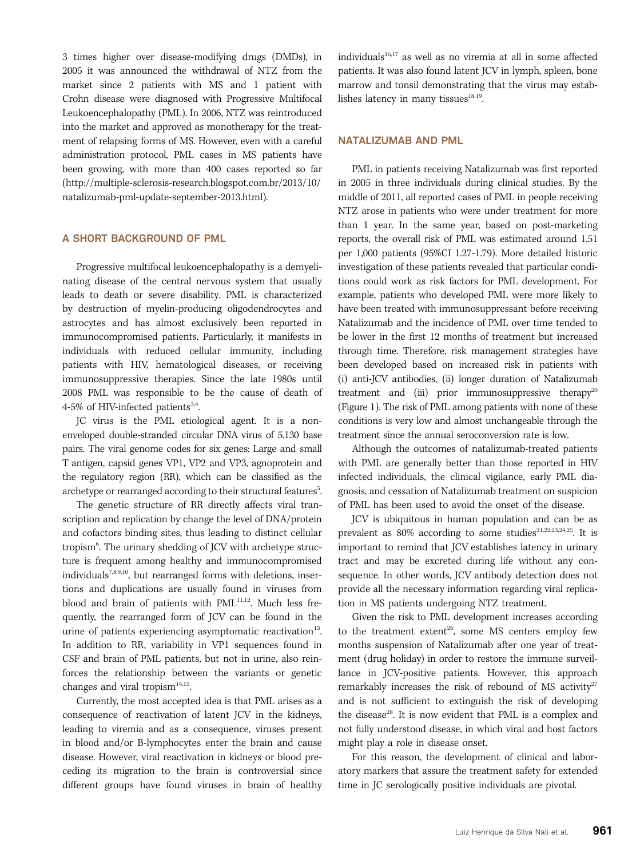3 times higher over disease-modifying drugs (DMDs), in 2005 it was announced the withdrawal of NTZ from the market since 2 patients with MS and 1 patient with Crohn disease were diagnosed with Progressive Multifocal Leukoencephalopathy (PML). In 2006, NTZ was reintroduced into the market and approved as monotherapy for the treatment of relapsing forms of MS. However, even with a careful administration protocol, PML cases in MS patients have been growing, with more than 400 cases reported so far (http://multiple-sclerosis-research.blogspot.com.br/2013/10/ natalizumab-pml-update-september-2013.html).

# A SHORT BACKGROUND OF PML

Progressive multifocal leukoencephalopathy is a demyelinating disease of the central nervous system that usually leads to death or severe disability. PML is characterized by destruction of myelin-producing oligodendrocytes and astrocytes and has almost exclusively been reported in immunocompromised patients. Particularly, it manifests in individuals with reduced cellular immunity, including patients with HIV, hematological diseases, or receiving immunosuppressive therapies. Since the late 1980s until 2008 PML was responsible to be the cause of death of 4-5% of HIV-infected patients<sup>3,4</sup>.

JC virus is the PML etiological agent. It is a nonenveloped double-stranded circular DNA virus of 5,130 base pairs. The viral genome codes for six genes: Large and small T antigen, capsid genes VP1, VP2 and VP3, agnoprotein and the regulatory region (RR), which can be classified as the archetype or rearranged according to their structural features<sup>5</sup>. .

The genetic structure of RR directly affects viral transcription and replication by change the level of DNA/protein and cofactors binding sites, thus leading to distinct cellular tropism<sup>6</sup>. The urinary shedding of JCV with archetype structure is frequent among healthy and immunocompromised individuals<sup>7,8,9,10</sup>, but rearranged forms with deletions, insertions and duplications are usually found in viruses from blood and brain of patients with PML<sup>11,12</sup>. Much less frequently, the rearranged form of JCV can be found in the urine of patients experiencing asymptomatic reactivation<sup>13</sup>. In addition to RR, variability in VP1 sequences found in CSF and brain of PML patients, but not in urine, also reinforces the relationship between the variants or genetic changes and viral tropism $14,15$ .

Currently, the most accepted idea is that PML arises as a consequence of reactivation of latent JCV in the kidneys, leading to viremia and as a consequence, viruses present in blood and/or B-lymphocytes enter the brain and cause disease. However, viral reactivation in kidneys or blood preceding its migration to the brain is controversial since different groups have found viruses in brain of healthy

individuals<sup>16,17</sup> as well as no viremia at all in some affected patients. It was also found latent JCV in lymph, spleen, bone marrow and tonsil demonstrating that the virus may establishes latency in many tissues $18,19$ .

# NATALIZUMAB AND PML

PML in patients receiving Natalizumab was first reported in 2005 in three individuals during clinical studies. By the middle of 2011, all reported cases of PML in people receiving NTZ arose in patients who were under treatment for more than 1 year. In the same year, based on post-marketing reports, the overall risk of PML was estimated around 1.51 per 1,000 patients (95%CI 1.27-1.79). More detailed historic investigation of these patients revealed that particular conditions could work as risk factors for PML development. For example, patients who developed PML were more likely to have been treated with immunosuppressant before receiving Natalizumab and the incidence of PML over time tended to be lower in the first 12 months of treatment but increased through time. Therefore, risk management strategies have been developed based on increased risk in patients with (i) anti-JCV antibodies, (ii) longer duration of Natalizumab treatment and (iii) prior immunosuppressive therapy<sup>20</sup> (Figure 1). The risk of PML among patients with none of these conditions is very low and almost unchangeable through the treatment since the annual seroconversion rate is low.

Although the outcomes of natalizumab-treated patients with PML are generally better than those reported in HIV infected individuals, the clinical vigilance, early PML diagnosis, and cessation of Natalizumab treatment on suspicion of PML has been used to avoid the onset of the disease.

JCV is ubiquitous in human population and can be as prevalent as  $80\%$  according to some studies<sup>21,22,23,24,25</sup>. It is important to remind that JCV establishes latency in urinary tract and may be excreted during life without any consequence. In other words, JCV antibody detection does not provide all the necessary information regarding viral replication in MS patients undergoing NTZ treatment.

Given the risk to PML development increases according to the treatment extent<sup>26</sup>, some MS centers employ few months suspension of Natalizumab after one year of treatment (drug holiday) in order to restore the immune surveillance in JCV-positive patients. However, this approach remarkably increases the risk of rebound of MS activity $27$ and is not sufficient to extinguish the risk of developing the disease<sup>28</sup>. It is now evident that PML is a complex and not fully understood disease, in which viral and host factors might play a role in disease onset.

For this reason, the development of clinical and laboratory markers that assure the treatment safety for extended time in JC serologically positive individuals are pivotal.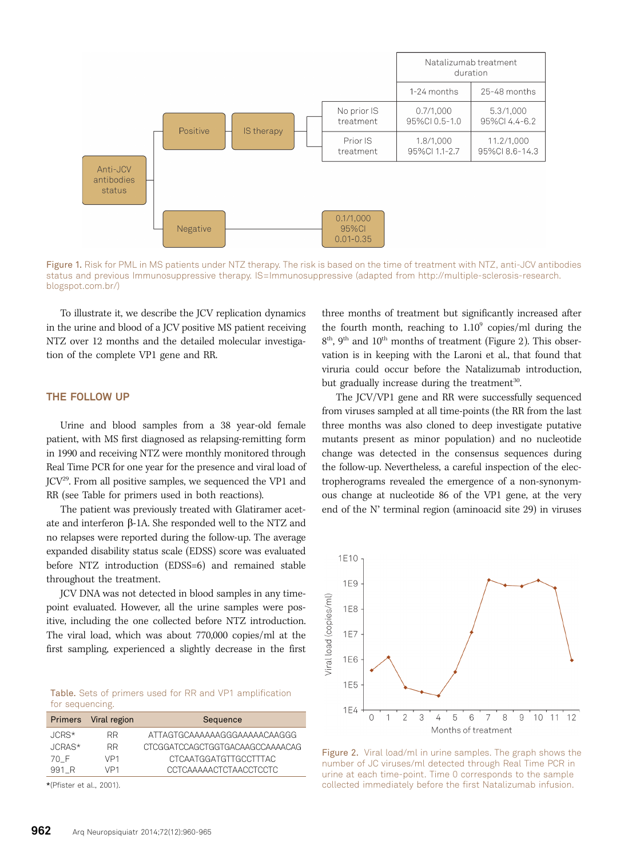

Figure 1. Risk for PML in MS patients under NTZ therapy. The risk is based on the time of treatment with NTZ, anti-JCV antibodies status and previous Immunosuppressive therapy. IS=Immunosuppressive (adapted from http://multiple-sclerosis-research. blogspot.com.br/)

To illustrate it, we describe the JCV replication dynamics in the urine and blood of a JCV positive MS patient receiving NTZ over 12 months and the detailed molecular investigation of the complete VP1 gene and RR.

### THE FOLLOW UP

Urine and blood samples from a 38 year-old female patient, with MS first diagnosed as relapsing-remitting form in 1990 and receiving NTZ were monthly monitored through Real Time PCR for one year for the presence and viral load of JCV29. From all positive samples, we sequenced the VP1 and RR (see Table for primers used in both reactions).

The patient was previously treated with Glatiramer acetate and interferon b-1A. She responded well to the NTZ and no relapses were reported during the follow-up. The average expanded disability status scale (EDSS) score was evaluated before NTZ introduction (EDSS=6) and remained stable throughout the treatment.

JCV DNA was not detected in blood samples in any timepoint evaluated. However, all the urine samples were positive, including the one collected before NTZ introduction. The viral load, which was about 770,000 copies/ml at the first sampling, experienced a slightly decrease in the first

Table. Sets of primers used for RR and VP1 amplification for sequencing.

|          | Primers Viral region | Sequence                        |
|----------|----------------------|---------------------------------|
| $JCRS*$  | RR.                  | ATTAGTGCAAAAAAGGGAAAAACAAGGG    |
| $JCRAS*$ | RR.                  | CTCGGATCCAGCTGGTGACAAGCCAAAACAG |
| 70 F     | VP1                  | CTCAATGGATGTTGCCTTTAC           |
| 991 R    | VP1                  | CCTCAAAAACTCTAACCTCCTC          |
|          |                      |                                 |

\*(Pfister et al., 2001).

three months of treatment but significantly increased after the fourth month, reaching to  $1.10^9$  copies/ml during the  $8<sup>th</sup>$ , 9<sup>th</sup> and 10<sup>th</sup> months of treatment (Figure 2). This observation is in keeping with the Laroni et al., that found that viruria could occur before the Natalizumab introduction, but gradually increase during the treatment<sup>30</sup>.

The JCV/VP1 gene and RR were successfully sequenced from viruses sampled at all time-points (the RR from the last three months was also cloned to deep investigate putative mutants present as minor population) and no nucleotide change was detected in the consensus sequences during the follow-up. Nevertheless, a careful inspection of the electropherograms revealed the emergence of a non-synonymous change at nucleotide 86 of the VP1 gene, at the very end of the N' terminal region (aminoacid site 29) in viruses



Figure 2. Viral load/ml in urine samples. The graph shows the number of JC viruses/ml detected through Real Time PCR in urine at each time-point. Time 0 corresponds to the sample collected immediately before the first Natalizumab infusion.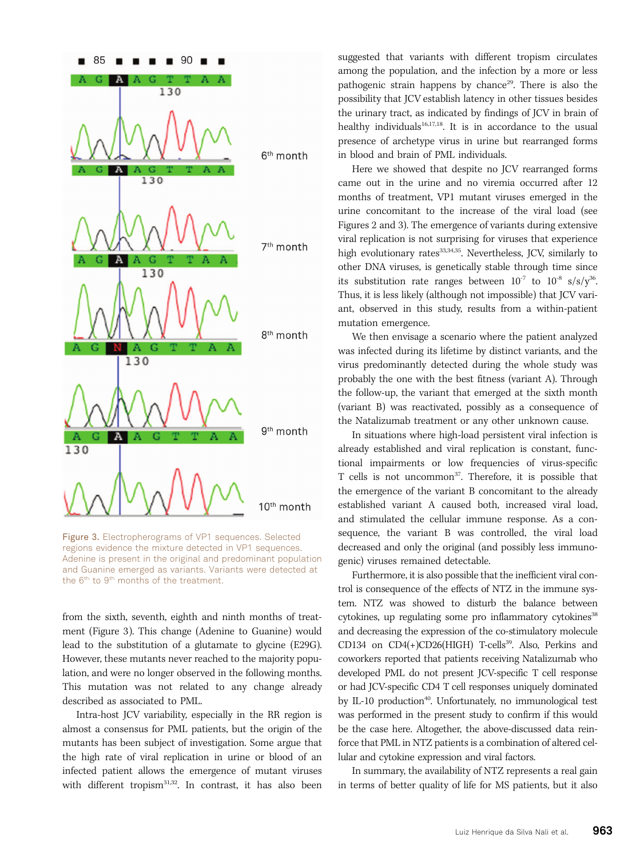

Figure 3. Electropherograms of VP1 sequences. Selected regions evidence the mixture detected in VP1 sequences. Adenine is present in the original and predominant population and Guanine emerged as variants. Variants were detected at the  $6<sup>th</sup>$  to  $9<sup>th</sup>$  months of the treatment.

from the sixth, seventh, eighth and ninth months of treatment (Figure 3). This change (Adenine to Guanine) would lead to the substitution of a glutamate to glycine (E29G). However, these mutants never reached to the majority population, and were no longer observed in the following months. This mutation was not related to any change already described as associated to PML.

Intra-host JCV variability, especially in the RR region is almost a consensus for PML patients, but the origin of the mutants has been subject of investigation. Some argue that the high rate of viral replication in urine or blood of an infected patient allows the emergence of mutant viruses with different tropism<sup>31,32</sup>. In contrast, it has also been

suggested that variants with different tropism circulates among the population, and the infection by a more or less pathogenic strain happens by chance<sup>29</sup>. There is also the possibility that JCV establish latency in other tissues besides the urinary tract, as indicated by findings of JCV in brain of healthy individuals<sup>16,17,18</sup>. It is in accordance to the usual presence of archetype virus in urine but rearranged forms in blood and brain of PML individuals.

Here we showed that despite no JCV rearranged forms came out in the urine and no viremia occurred after 12 months of treatment, VP1 mutant viruses emerged in the urine concomitant to the increase of the viral load (see Figures 2 and 3). The emergence of variants during extensive viral replication is not surprising for viruses that experience high evolutionary rates<sup>33,34,35</sup>. Nevertheless, JCV, similarly to other DNA viruses, is genetically stable through time since its substitution rate ranges between  $10^{-7}$  to  $10^{-8}$  s/s/y<sup>36</sup>. Thus, it is less likely (although not impossible) that JCV variant, observed in this study, results from a within-patient mutation emergence.

We then envisage a scenario where the patient analyzed was infected during its lifetime by distinct variants, and the virus predominantly detected during the whole study was probably the one with the best fitness (variant A). Through the follow-up, the variant that emerged at the sixth month (variant B) was reactivated, possibly as a consequence of the Natalizumab treatment or any other unknown cause.

In situations where high-load persistent viral infection is already established and viral replication is constant, functional impairments or low frequencies of virus-specific T cells is not uncommon<sup>37</sup>. Therefore, it is possible that the emergence of the variant B concomitant to the already established variant A caused both, increased viral load, and stimulated the cellular immune response. As a consequence, the variant B was controlled, the viral load decreased and only the original (and possibly less immunogenic) viruses remained detectable.

Furthermore, it is also possible that the inefficient viral control is consequence of the effects of NTZ in the immune system. NTZ was showed to disturb the balance between cytokines, up regulating some pro inflammatory cytokines<sup>38</sup> and decreasing the expression of the co-stimulatory molecule CD134 on CD4(+)CD26(HIGH) T-cells<sup>39</sup>. Also, Perkins and coworkers reported that patients receiving Natalizumab who developed PML do not present JCV-specific T cell response or had JCV-specific CD4 T cell responses uniquely dominated by IL-10 production<sup>40</sup>. Unfortunately, no immunological test was performed in the present study to confirm if this would be the case here. Altogether, the above-discussed data reinforce that PML in NTZ patients is a combination of altered cellular and cytokine expression and viral factors.

In summary, the availability of NTZ represents a real gain in terms of better quality of life for MS patients, but it also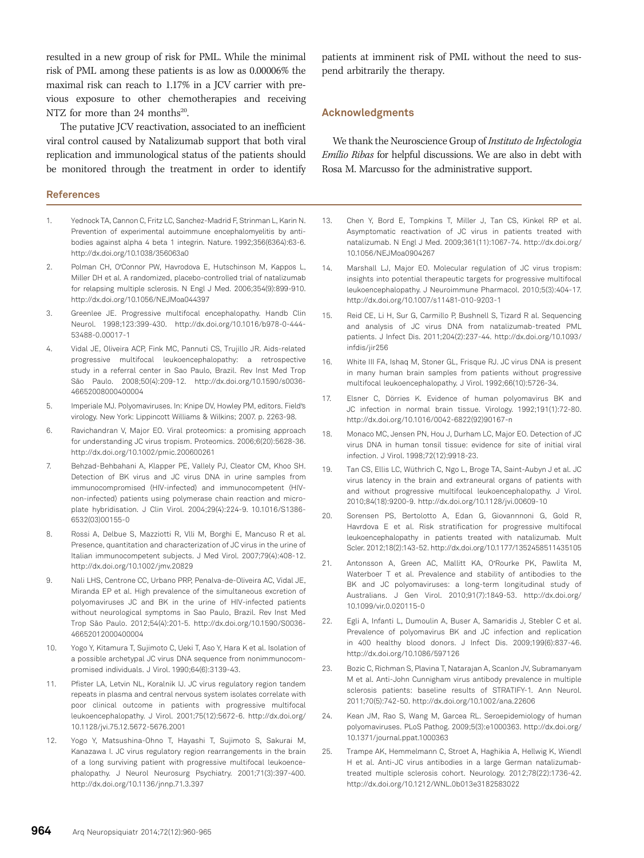resulted in a new group of risk for PML. While the minimal risk of PML among these patients is as low as 0.00006% the maximal risk can reach to 1.17% in a JCV carrier with previous exposure to other chemotherapies and receiving NTZ for more than 24 months<sup>20</sup>.

The putative JCV reactivation, associated to an inefficient viral control caused by Natalizumab support that both viral replication and immunological status of the patients should be monitored through the treatment in order to identify

## **References**

- 1. Yednock TA, Cannon C, Fritz LC, Sanchez-Madrid F, Strinman L, Karin N. Prevention of experimental autoimmune encephalomyelitis by antibodies against alpha 4 beta 1 integrin. Nature. 1992;356(6364):63-6. http://dx.doi.org/10.1038/356063a0
- 2. Polman CH, O'Connor PW, Havrodova E, Hutschinson M, Kappos L, Miller DH et al. A randomized, placebo-controlled trial of natalizumab for relapsing multiple sclerosis. N Engl J Med. 2006;354(9):899-910. http://dx.doi.org/10.1056/NEJMoa044397
- 3. Greenlee JE. Progressive multifocal encephalopathy. Handb Clin Neurol. 1998;123:399-430. http://dx.doi.org/10.1016/b978-0-444- 53488-0.00017-1
- 4. Vidal JE, Oliveira ACP, Fink MC, Pannuti CS, Trujillo JR. Aids-related progressive multifocal leukoencephalopathy: a retrospective study in a referral center in Sao Paulo, Brazil. Rev Inst Med Trop São Paulo. 2008;50(4):209-12. http://dx.doi.org/10.1590/s0036- 46652008000400004
- 5. Imperiale MJ. Polyomaviruses. In: Knipe DV, Howley PM, editors. Field's virology. New York: Lippincott Williams & Wilkins; 2007. p. 2263-98.
- 6. Ravichandran V, Major EO. Viral proteomics: a promising approach for understanding JC virus tropism. Proteomics. 2006;6(20):5628-36. http://dx.doi.org/10.1002/pmic.200600261
- 7. Behzad-Behbahani A, Klapper PE, Vallely PJ, Cleator CM, Khoo SH. Detection of BK virus and JC virus DNA in urine samples from immunocompromised (HIV-infected) and immunocompetent (HIVnon-infected) patients using polymerase chain reaction and microplate hybridisation. J Clin Virol. 2004;29(4):224-9. 10.1016/S1386- 6532(03)00155-0
- 8. Rossi A, Delbue S, Mazziotti R, Vlli M, Borghi E, Mancuso R et al. Presence, quantitation and characterization of JC virus in the urine of Italian immunocompetent subjects. J Med Virol. 2007;79(4):408-12. http://dx.doi.org/10.1002/jmv.20829
- 9. Nali LHS, Centrone CC, Urbano PRP, Penalva-de-Oliveira AC, Vidal JE, Miranda EP et al. High prevalence of the simultaneous excretion of polyomaviruses JC and BK in the urine of HIV-infected patients without neurological symptoms in Sao Paulo, Brazil. Rev Inst Med Trop São Paulo. 2012;54(4):201-5. http://dx.doi.org/10.1590/S0036- 46652012000400004
- 10. Yogo Y, Kitamura T, Sujimoto C, Ueki T, Aso Y, Hara K et al. Isolation of a possible archetypal JC virus DNA sequence from nonimmunocompromised individuals. J Virol. 1990;64(6):3139-43.
- 11. Pfister LA, Letvin NL, Koralnik IJ. JC virus regulatory region tandem repeats in plasma and central nervous system isolates correlate with poor clinical outcome in patients with progressive multifocal leukoencephalopathy. J Virol. 2001;75(12):5672-6. http://dx.doi.org/ 10.1128/jvi.75.12.5672-5676.2001
- 12. Yogo Y, Matsushina-Ohno T, Hayashi T, Sujimoto S, Sakurai M, Kanazawa I. JC virus regulatory region rearrangements in the brain of a long surviving patient with progressive multifocal leukoencephalopathy. J Neurol Neurosurg Psychiatry. 2001;71(3):397-400. http://dx.doi.org/10.1136/jnnp.71.3.397

patients at imminent risk of PML without the need to suspend arbitrarily the therapy.

## Acknowledgments

We thank the Neuroscience Group of Instituto de Infectologia Emílio Ribas for helpful discussions. We are also in debt with Rosa M. Marcusso for the administrative support.

- 13. Chen Y, Bord E, Tompkins T, Miller J, Tan CS, Kinkel RP et al. Asymptomatic reactivation of JC virus in patients treated with natalizumab. N Engl J Med. 2009;361(11):1067-74. http://dx.doi.org/ 10.1056/NEJMoa0904267
- 14. Marshall LJ, Major EO. Molecular regulation of JC virus tropism: insights into potential therapeutic targets for progressive multifocal leukoencephalopathy. J Neuroimmune Pharmacol. 2010;5(3):404-17. http://dx.doi.org/10.1007/s11481-010-9203-1
- 15. Reid CE, Li H, Sur G, Carmillo P, Bushnell S, Tizard R al. Sequencing and analysis of JC virus DNA from natalizumab-treated PML patients. J Infect Dis. 2011;204(2):237-44. http://dx.doi.org/10.1093/ infdis/jir256
- 16. White III FA, Ishaq M, Stoner GL, Frisque RJ. JC virus DNA is present in many human brain samples from patients without progressive multifocal leukoencephalopathy. J Virol. 1992;66(10):5726-34.
- 17. Elsner C, Dörries K. Evidence of human polyomavirus BK and JC infection in normal brain tissue. Virology. 1992;191(1):72-80. http://dx.doi.org/10.1016/0042-6822(92)90167-n
- 18. Monaco MC, Jensen PN, Hou J, Durham LC, Major EO. Detection of JC virus DNA in human tonsil tissue: evidence for site of initial viral infection. J Virol. 1998;72(12):9918-23.
- 19. Tan CS, Ellis LC, Wüthrich C, Ngo L, Broge TA, Saint-Aubyn J et al. JC virus latency in the brain and extraneural organs of patients with and without progressive multifocal leukoencephalopathy. J Virol. 2010;84(18):9200-9. http://dx.doi.org/10.1128/jvi.00609-10
- 20. Sorensen PS, Bertolotto A, Edan G, Giovannnoni G, Gold R, Havrdova E et al. Risk stratification for progressive multifocal leukoencephalopathy in patients treated with natalizumab. Mult Scler. 2012;18(2):143-52. http://dx.doi.org/10.1177/1352458511435105
- 21. Antonsson A, Green AC, Mallitt KA, O'Rourke PK, Pawlita M, Waterboer T et al. Prevalence and stability of antibodies to the BK and JC polyomaviruses: a long-term longitudinal study of Australians. J Gen Virol. 2010;91(7):1849-53. http://dx.doi.org/ 10.1099/vir.0.020115-0
- 22. Egli A, Infanti L, Dumoulin A, Buser A, Samaridis J, Stebler C et al. Prevalence of polyomavirus BK and JC infection and replication in 400 healthy blood donors. J Infect Dis. 2009;199(6):837-46. http://dx.doi.org/10.1086/597126
- 23. Bozic C, Richman S, Plavina T, Natarajan A, Scanlon JV, Subramanyam M et al. Anti-John Cunnigham virus antibody prevalence in multiple sclerosis patients: baseline results of STRATIFY-1. Ann Neurol. 2011;70(5):742-50. http://dx.doi.org/10.1002/ana.22606
- 24. Kean JM, Rao S, Wang M, Garcea RL. Seroepidemiology of human polyomaviruses. PLoS Pathog. 2009;5(3):e1000363. http://dx.doi.org/ 10.1371/journal.ppat.1000363
- 25. Trampe AK, Hemmelmann C, Stroet A, Haghikia A, Hellwig K, Wiendl H et al. Anti-JC virus antibodies in a large German natalizumabtreated multiple sclerosis cohort. Neurology. 2012;78(22):1736-42. http://dx.doi.org/10.1212/WNL.0b013e3182583022